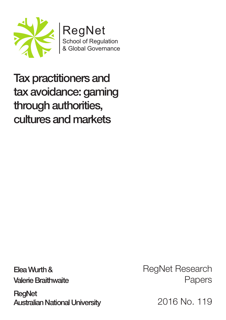

# Tax practitioners and tax avoidance: gaming through authorities, cultures and markets

Elea Wurth & Valerie Braithwaite

**RegNet** Australian National University RegNet Research Papers

2016 No. 119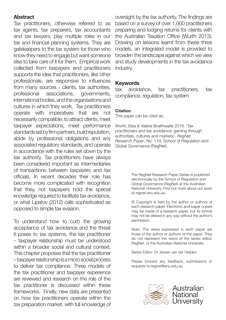# **Abstract**

Tax practitioners, otherwise referred to as tax agents, tax preparers, tax accountants and tax lawyers, play multiple roles in our tax and financial planning systems. They are gatekeepers to the tax system for those who know they need to engage but want someone else to take care of it for them. Empirical work collected from taxpayers and practitioners supports the idea that practitioners, like other professionals, are responsive to influences from many sources - clients, tax authorities, professional associations, governments, international bodies, and the organisations and cultures in which they work. Tax practitioners operate with imperatives that are not necessarily compatible: to attract clients, meet taxpayer expectations, meet performance standards set by firm partners, build reputation, abide by professional obligations and any associated regulatory standards, and operate in accordance with the rules set down by the tax authority. Tax practitioners have always been considered important as intermediaries of transactions between taxpayers and tax officials. In recent decades their role has become more complicated with recognition that they, not taxpayers hold the special knowledge required to facilitate tax avoidance, or what Lipatov (2012) calls sophisticated as opposed to simple tax evasion.

To understand how to curb the growing acceptance of tax avoidance and the threat it poses to tax systems, the tax practitioner – taxpayer relationship must be understood within a broader social and cultural context. This chapter proposes that the tax practitioner – taxpayer relationship is a micro social process to deliver tax compliance. Three models of the tax practitioner and taxpayer experience are reviewed and research on the role of the tax practitioner is discussed within these frameworks. Finally, new data are presented on how tax practitioners operate within the tax preparation market, with full knowledge of

oversight by the tax authority. The findings are based on a survey of over 1,000 practitioners preparing and lodging returns for clients with the Australian Taxation Office (Wurth 2013). Drawing on lessons learnt from these three models, an integrated model is provided to broaden the landscape against which we view and study developments in the tax avoidance industry.

# **Keywords**

tax avoidance, tax practitioners, tax compliance, regulation, tax system

## **Citation**

This paper can be cited as:

Wurth, Elea & Valerie Braithwaite 2016. 'Tax practitioners and tax avoidance: gaming through authorities, cultures and markets'. *RegNet Research Paper*, No. 119, School of Regulation and Global Governance (RegNet).

> The RegNet Research Paper Series is published electronically by the School of Regulation and Global Governance (RegNet) at the Australian National University. Find out more about our work at regnet.anu.edu.au

© Copyright is held by the author or authors of each research paper. Electronic and paper copies may be made of a research paper, but its format may not be altered in any way without the author's permission.

Note: The views expressed in each paper are those of the author or authors of the paper. They do not represent the views of the series editor, RegNet, or the Australian National University.

Series Editor: Dr Jeroen van der Heijden

Please forward any feedback, submissions or requests to:[regnet@anu.edu.au](mailto:regnet%40anu.edu.au?subject=RegNet%20Research%20Papers).

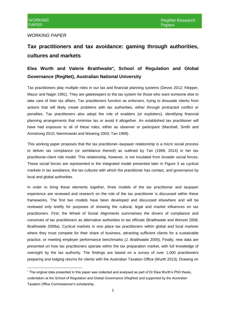#### *WORKING PAPER*

# **Tax practitioners and tax avoidance: gaming through authorities, cultures and markets**

# **Elea Wurth and Valerie Braithwaite , School of Regulation and Global Governance (RegNet), Australian National University**

Tax practitioners play multiple roles in our tax and financial planning systems (Devos 2012; Klepper, Mazur and Nagin 1991). They are gatekeepers to the tax system for those who want someone else to take care of their tax affairs. Tax practitioners function as enforcers, trying to dissuade clients from actions that will likely create problems with tax authorities, either through protracted conflict or penalties. Tax practitioners also adopt the role of enablers (or exploiters), identifying financial planning arrangements that minimise tax or avoid it altogether. An established tax practitioner will have had exposure to all of these roles, either as observer or participant (Marshall, Smith and Armstrong 2010; Niemirowski and Wearing 2003; Tan 1999).

This working paper proposes that the tax practitioner–taxpayer relationship is a micro social process to deliver tax compliance (or semblance thereof) as outlined by Tan (1999, 2014) in her tax practitioner-client role model. This relationship, however, is not insulated from broader social forces. These social forces are represented in the integrated model presented later in Figure 3 as cyclical markets in tax avoidance, the tax cultures with which the practitioner has contact, and governance by local and global authorities.

In order to bring these elements together, three models of the tax practitioner and taxpayer experience are reviewed and research on the role of the tax practitioner is discussed within these frameworks. The first two models have been developed and discussed elsewhere and will be reviewed only briefly for purposes of showing the cultural, legal and market influences on tax practitioners. First, the Wheel of Social Alignments summarises the drivers of compliance and conceives of tax practitioners as alternative authorities to tax officials (Braithwaite and Wenzel 2008; Braithwaite 2009a). Cyclical markets in vice place tax practitioners within global and local markets where they must compete for their share of business, attracting sufficient clients for a sustainable practice, or meeting employer performance benchmarks (J. Braithwaite 2005). Finally, new data are presented on how tax practitioners operate within the tax preparation market, with full knowledge of oversight by the tax authority. The findings are based on a survey of over 1,000 practitioners preparing and lodging returns for clients with the Australian Taxation Office (Wurth 2013). Drawing on

The original data presented in this paper was collected and analysed as part of Dr Elea Wurth's PhD thesis, undertaken at the School of Regulation and Global Governance (RegNet) and supported by the Australian Taxation Office Commissioner's scholarship.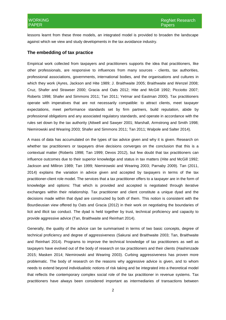lessons learnt from these three models, an integrated model is provided to broaden the landscape against which we view and study developments in the tax avoidance industry.

#### **The embedding of tax practice**

Empirical work collected from taxpayers and practitioners supports the idea that practitioners, like other professionals, are responsive to influences from many sources - clients, tax authorities, professional associations, governments, international bodies, and the organisations and cultures in which they work (Ayres, Jackson and Hite 1989; J. Braithwaite 2005; Braithwaite and Wenzel 2008; Cruz, Shafer and Strawser 2000; Gracia and Oats 2012; Hite and McGill 1992; Picciotto 2007; Roberts 1998; Shafer and Simmons 2011; Tan 2011; Yetmar and Eastman 2000). Tax practitioners operate with imperatives that are not necessarily compatible: to attract clients, meet taxpayer expectations, meet performance standards set by firm partners, build reputation, abide by professional obligations and any associated regulatory standards, and operate in accordance with the rules set down by the tax authority (Attwell and Sawyer 2001; Marshall, Armstrong and Smith 1998; Niemirowski and Wearing 2003; Shafer and Simmons 2011; Tan 2011; Walpole and Salter 2014).

A mass of data has accumulated on the types of tax advice given and why it is given. Research on whether tax practitioners or taxpayers drive decisions converges on the conclusion that this is a contextual matter (Roberts 1998; Tan 1999; Devos 2012), but few doubt that tax practitioners can influence outcomes due to their superior knowledge and status in tax matters (Hite and McGill 1992; Jackson and Milliron 1989; Tan 1999; Niemirowski and Wearing 2003; Parnaby 2009). Tan (2011, 2014) explains the variation in advice given and accepted by taxpayers in terms of the tax practitioner-client role model. The services that a tax practitioner offers to a taxpayer are in the form of knowledge and options: That which is provided and accepted is negotiated through iterative exchanges within their relationship. Tax practitioner and client constitute a unique dyad and the decisions made within that dyad are constructed by both of them. This notion is consistent with the Bourdieusian view offered by Oats and Gracia (2012) in their work on negotiating the boundaries of licit and illicit tax conduct. The dyad is held together by trust, technical proficiency and capacity to provide aggressive advice (Tan, Braithwaite and Reinhart 2014).

Generally, the quality of the advice can be summarised in terms of two basic concepts, degree of technical proficiency and degree of aggressiveness (Sakurai and Braithwaite 2003; Tan, Braithwaite and Reinhart 2014). Programs to improve the technical knowledge of tax practitioners as well as taxpayers have evolved out of the body of research on tax practitioners and their clients (Hashimzade 2015; Masken 2014; Niemirowski and Wearing 2003). Curbing aggressiveness has proven more problematic. The body of research on the reasons why aggressive advice is given, and to whom needs to extend beyond individualistic notions of risk taking and be integrated into a theoretical model that reflects the contemporary complex social role of the tax practitioner in revenue systems. Tax practitioners have always been considered important as intermediaries of transactions between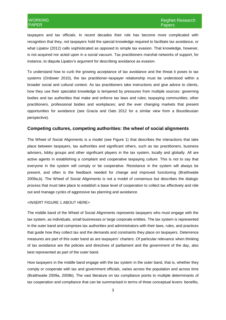taxpayers and tax officials. In recent decades their role has become more complicated with recognition that they, not taxpayers hold the special knowledge required to facilitate tax avoidance, or what Lipatov (2012) calls sophisticated as opposed to simple tax evasion. That knowledge, however, is not acquired nor acted upon in a social vacuum. Tax practitioners marshal networks of support, for instance, to dispute Lipatov's argument for describing avoidance as evasion.

To understand how to curb the growing acceptance of tax avoidance and the threat it poses to tax systems (Ordower 2010), the tax practitioner–taxpayer relationship must be understood within a broader social and cultural context. As tax practitioners take instructions and give advice to clients, how they use their specialist knowledge is tempered by pressures from multiple sources: governing bodies and tax authorities that make and enforce tax laws and rules; taxpaying communities; other practitioners, professional bodies and workplaces; and the ever changing markets that present opportunities for avoidance (see Gracia and Oats 2012 for a similar view from a Bourdieusian perspective).

#### **Competing cultures, competing authorities: the wheel of social alignments**

The Wheel of Social Alignments is a model (see Figure 1) that describes the interactions that take place between taxpayers, tax authorities and significant others, such as tax practitioners, business advisers, lobby groups and other significant players in the tax system, locally and globally. All are active agents in establishing a compliant and cooperative taxpaying culture. This is not to say that everyone in the system will comply or be cooperative. Resistance in the system will always be present, and often is the feedback needed for change and improved functioning (Braithwaite 2009a,b). The Wheel of Social Alignments is not a model of consensus but describes the dialogic process that must take place to establish a base level of cooperation to collect tax effectively and ride out and manage cycles of aggressive tax planning and avoidance.

#### <INSERT FIGURE 1 ABOUT HERE>

The middle band of the Wheel of Social Alignments represents taxpayers who must engage with the tax system, as individuals, small businesses or large corporate entities. The tax system is represented in the outer band and comprises tax authorities and administrators with their laws, rules, and practices that guide how they collect tax and the demands and constraints they place on taxpayers. Deterrence measures are part of this outer band as are taxpayers' charters. Of particular relevance when thinking of tax avoidance are the policies and directives of parliament and the government of the day, also best represented as part of the outer band.

How taxpayers in the middle band engage with the tax system in the outer band, that is, whether they comply or cooperate with tax and government officials, varies across the population and across time (Braithwaite 2009a, 2009b). The vast literature on tax compliance points to multiple determinants of tax cooperation and compliance that can be summarised in terms of three conceptual levers: benefits,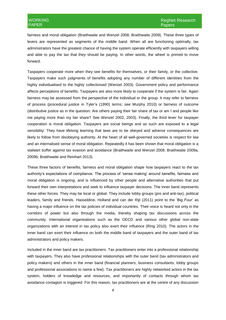fairness and moral obligation (Braithwaite and Wenzel 2008; Braithwaite 2009). These three types of levers are represented as segments of the middle band. When all are functioning optimally, tax administrators have the greatest chance of having the system operate efficiently with taxpayers willing and able to pay the tax that they should be paying. In other words, the wheel is primed to move forward.

Taxpayers cooperate more when they see benefits for themselves, or their family, or the collective. Taxpayers make such judgments of benefits adopting any number of different identities from the highly individualised to the highly collectivised (Wenzel 2003). Government policy and performance affects perceptions of benefits. Taxpayers are also more likely to cooperate if the system is fair. Again fairness may be assessed from the perspective of the individual or the group. It may refer to fairness of process (procedural justice in Tyler's (1990) terms; see Murphy 2010) or fairness of outcome (distributive justice as in the question: Are others paying their fair share of tax or am I and people like me paying more than my fair share? See Wenzel 2002, 2003). Finally, the third lever for taxpayer cooperation is moral obligation. Taxpayers are social beings and as such are exposed to a legal sensibility: They have lifelong learning that laws are to be obeyed and adverse consequences are likely to follow from disobeying authority. At the heart of all well-governed societies is respect for law and an internalised sense of moral obligation. Repeatedly it has been shown that moral obligation is a stalwart buffer against tax evasion and avoidance (Braithwaite and Wenzel 2008; Braithwaite 2009a, 2009b; Braithwaite and Reinhart 2013).

These three factors of benefits, fairness and moral obligation shape how taxpayers react to the tax authority's expectations of compliance. The process of 'sense making' around benefits, fairness and moral obligation is ongoing, and is influenced by other people and alternative authorities that put forward their own interpretations and seek to influence taxpayer decisions. The inner band represents these other forces. They may be local or global. They include lobby groups (pro and anti-tax), political leaders, family and friends. Hasseldine, Holland and can der Rijt (2011) point to the 'Big Four' as having a major influence on the tax policies of individual countries. Their voice is heard not only in the corridors of power but also through the media, thereby shaping tax discussions across the community. International organisations such as the OECD and various other global non-state organizations with an interest in tax policy also exert their influence (Ring 2010). The actors in the inner band can exert their influence on both the middle band of taxpayers and the outer band of tax administrators and policy makers.

Included in the inner band are tax practitioners. Tax practitioners enter into a professional relationship with taxpayers. They also have professional relationships with the outer band (tax administrators and policy makers) and others in the inner band (financial planners, business consultants, lobby groups and professional associations to name a few). Tax practitioners are highly networked actors in the tax system, holders of knowledge and resources, and importantly of contacts through whom tax avoidance contagion is triggered. For this reason, tax practitioners are at the centre of any discussion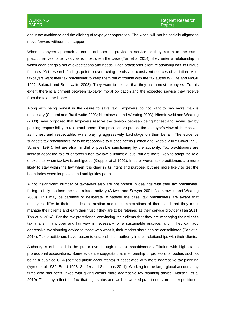about tax avoidance and the eliciting of taxpayer cooperation. The wheel will not be socially aligned to move forward without their support.

When taxpayers approach a tax practitioner to provide a service or they return to the same practitioner year after year, as is most often the case (Tan et al 2014), they enter a relationship in which each brings a set of expectations and needs. Each practitioner-client relationship has its unique features. Yet research findings point to overarching trends and consistent sources of variation. Most taxpayers want their tax practitioner to keep them out of trouble with the tax authority (Hite and McGill 1992; Sakurai and Braithwaite 2003). They want to believe that they are honest taxpayers. To this extent there is alignment between taxpayer moral obligation and the expected service they receive from the tax practitioner.

Along with being honest is the desire to save tax: Taxpayers do not want to pay more than is necessary (Sakurai and Braithwaite 2003; Niemirowski and Wearing 2003). Niemirowski and Wearing (2003) have proposed that taxpayers resolve the tension between being honest and saving tax by passing responsibility to tax practitioners. Tax practitioners protect the taxpayer's view of themselves as honest and respectable, while playing aggressively backstage on their behalf. The evidence suggests tax practitioners try to be responsive to client's needs (Bobek and Radtke 2007; Cloyd 1995; Schisler 1994), but are also mindful of possible sanctioning by the authority. Tax practitioners are likely to adopt the role of enforcer when tax law is unambiguous, but are more likely to adopt the role of exploiter when tax law is ambiguous (Klepper et al 1991). In other words, tax practitioners are more likely to stay within the law when it is clear in its intent and purpose, but are more likely to test the boundaries when loopholes and ambiguities permit.

A not insignificant number of taxpayers also are not honest in dealings with their tax practitioner, failing to fully disclose their tax related activity (Attwell and Sawyer 2001; Niemirowski and Wearing 2003). This may be careless or deliberate. Whatever the case, tax practitioners are aware that taxpayers differ in their attitudes to taxation and their expectations of them, and that they must manage their clients and earn their trust if they are to be retained as their service provider (Tan 2011; Tan et al 2014). For the tax practitioner, convincing their clients that they are managing their client's tax affairs in a proper and fair way is necessary for a sustainable practice, and if they can add aggressive tax planning advice to those who want it, their market share can be consolidated (Tan et al 2014). Tax practitioners have reason to establish their authority in their relationships with their clients.

Authority is enhanced in the public eye through the tax practitioner's affiliation with high status professional associations. Some evidence suggests that membership of professional bodies such as being a qualified CPA (certified public accountants) is associated with more aggressive tax planning (Ayres et al 1989; Erard 1993; Shafer and Simmons 2011). Working for the large global accountancy firms also has been linked with giving clients more aggressive tax planning advice (Marshall et al 2010). This may reflect the fact that high status and well-networked practitioners are better positioned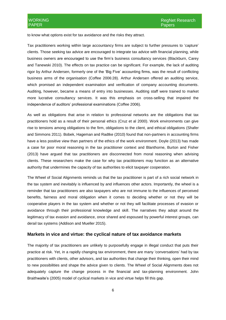to know what options exist for tax avoidance and the risks they attract.

Tax practitioners working within large accountancy firms are subject to further pressures to 'capture' clients. Those seeking tax advice are encouraged to integrate tax advice with financial planning, while business owners are encouraged to use the firm's business consultancy services (Blackburn, Carey and Tanewski 2010). The effects on tax practice can be significant. For example, the lack of auditing rigor by Arthur Andersen, formerly one of the 'Big Five' accounting firms, was the result of conflicting business arms of the organisation (Coffee 2006:28). Arthur Andersen offered an auditing service, which promised an independent examination and verification of company accounting documents. Auditing, however, became a means of entry into businesses. Auditing staff were trained to market more lucrative consultancy services. It was this emphasis on cross-selling that impaired the independence of auditors' professional examinations (Coffee 2006).

As well as obligations that arise in relation to professional networks are the obligations that tax practitioners hold as a result of their personal ethics (Cruz et al 2000). Work environments can give rise to tensions among obligations to the firm, obligations to the client, and ethical obligations (Shafer and Simmons 2011). Bobek, Hageman and Radtke (2010) found that non-partners in accounting firms have a less positive view than partners of the ethics of the work environment. Doyle (2013) has made a case for poor moral reasoning in the tax practitioner context and Blanthorne, Burton and Fisher (2013) have argued that tax practitioners are disconnected from moral reasoning when advising clients. These researchers make the case for why tax practitioners may function as an alternative authority that undermines the capacity of tax authorities to elicit taxpayer cooperation.

The Wheel of Social Alignments reminds us that the tax practitioner is part of a rich social network in the tax system and inevitably is influenced by and influences other actors. Importantly, the wheel is a reminder that tax practitioners are also taxpayers who are not immune to the influences of perceived benefits, fairness and moral obligation when it comes to deciding whether or not they will be cooperative players in the tax system and whether or not they will facilitate processes of evasion or avoidance through their professional knowledge and skill. The narratives they adopt around the legitimacy of tax evasion and avoidance, once shared and espoused by powerful interest groups, can derail tax systems (Addison and Mueller 2015).

#### **Markets in vice and virtue: the cyclical nature of tax avoidance markets**

The majority of tax practitioners are unlikely to purposefully engage in illegal conduct that puts their practice at risk. Yet, in a rapidly changing tax environment, there are many 'conversations' had by tax practitioners with clients, other advisors, and tax authorities that change their thinking, open their mind to new possibilities and shape the advice given to clients. The Wheel of Social Alignments does not adequately capture the change process in the financial and tax-planning environment. John Braithwaite's (2005) model of cyclical markets in vice and virtue helps fill this gap.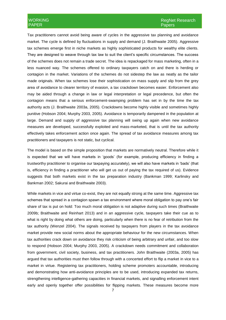Tax practitioners cannot avoid being aware of cycles in the aggressive tax planning and avoidance market. The cycle is defined by fluctuations in supply and demand (J. Braithwaite 2005). Aggressive tax schemes emerge first in niche markets as highly sophisticated products for wealthy elite clients. They are designed to weave through tax law to suit the client's specific circumstances. The success of the schemes does not remain a trade secret. The idea is repackaged for mass marketing, often in a less nuanced way. The schemes offered to ordinary taxpayers catch on and there is herding or contagion in the market. Variations of the schemes do not sidestep the law as neatly as the tailor made originals. When tax schemes lose their sophistication on mass supply and slip from the grey area of avoidance to clearer territory of evasion, a tax crackdown becomes easier. Enforcement also may be aided through a change in law or legal interpretation or legal precedence, but often the contagion means that a serious enforcement-swamping problem has set in by the time the tax authority acts (J. Braithwaite 2003a, 2005). Crackdowns become highly visible and sometimes highly punitive (Hobson 2004; Murphy 2003, 2005). Avoidance is temporarily dampened in the population at large. Demand and supply of aggressive tax planning will swing up again when new avoidance measures are developed, successfully exploited and mass-marketed, that is until the tax authority effectively takes enforcement action once again. The spread of tax avoidance measures among tax practitioners and taxpayers is not static, but cyclical.

The model is based on the simple proposition that markets are normatively neutral. Therefore while it is expected that we will have markets in 'goods' (for example, producing efficiency in finding a trustworthy practitioner to organise our taxpaying accurately), we will also have markets in 'bads' (that is, efficiency in finding a practitioner who will get us out of paying the tax required of us). Evidence suggests that both markets exist in the tax preparation industry (Bankman 1999; Karlinsky and Bankman 2002; Sakurai and Braithwaite 2003).

While markets in vice and virtue co-exist, they are not equally strong at the same time. Aggressive tax schemes that spread in a contagion spawn a tax environment where moral obligation to pay one's fair share of tax is put on hold: Too much moral obligation is not adaptive during such times (Braithwaite 2009b; Braithwaite and Reinhart 2013) and in an aggressive cycle, taxpayers take their cue as to what is right by doing what others are doing, particularly when there is no fear of retribution from the tax authority (Wenzel 2004). The signals received by taxpayers from players in the tax avoidance market provide new social norms about the appropriate behaviour for the new circumstances. When tax authorities crack down on avoidance they risk criticism of being arbitrary and unfair, and too slow to respond (Hobson 2004; Murphy 2003, 2005). A crackdown needs commitment and collaboration from government, civil society, business, and tax practitioners. John Braithwaite (2003a, 2005) has argued that tax authorities must then follow through with a concerted effort to flip a market in vice to a market in virtue. Registering tax practitioners, holding scheme promoters accountable, introducing and demonstrating how anti-avoidance principles are to be used, introducing expanded tax returns, strengthening intelligence-gathering capacities in financial markets, and signalling enforcement intent early and openly together offer possibilities for flipping markets. These measures become more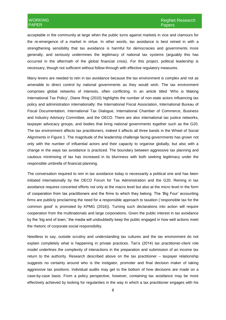acceptable in the community at large when the public turns against markets in vice and clamours for the re-emergence of a market in virtue. In other words, tax avoidance is best reined in with a strengthening sensibility that tax avoidance is harmful for democracies and governments more generally, and seriously undermines the legitimacy of national tax systems (arguably this has occurred in the aftermath of the global financial crisis). For this project, political leadership is necessary, though not sufficient without follow-through with effective regulatory measures.

Many levers are needed to rein in tax avoidance because the tax environment is complex and not as amenable to direct control by national governments as they would wish. The tax environment comprises global networks of interests, often conflicting. In an article titled 'Who is Making International Tax Policy', Diane Ring (2010) highlights the number of non-state actors influencing tax policy and administration internationally: the International Fiscal Association, International Bureau of Fiscal Documentation, International Tax Dialogue, International Chamber of Commerce, Business and Industry Advisory Committee, and the OECD. There are also international tax justice networks, taxpayer advocacy groups, and bodies that bring national governments together such as the G20. The tax environment affects tax practitioners, indeed it affects all three bands in the Wheel of Social Alignments in Figure 1. The magnitude of the leadership challenge facing governments has grown not only with the number of influential actors and their capacity to organise globally, but also with a change in the ways tax avoidance is practiced. The boundary between aggressive tax planning and cautious minimising of tax has increased in its blurriness with both seeking legitimacy under the responsible umbrella of financial planning.

The conversation required to rein in tax avoidance today is necessarily a political one and has been initiated internationally by the OECD Forum for Tax Administration and the G20. Reining in tax avoidance requires concerted efforts not only at the macro level but also at the micro level in the form of cooperation from tax practitioners and the firms to which they belong. The 'Big Four' accounting firms are publicly proclaiming the need for a responsible approach to taxation ('responsible tax for the common good' is promoted by KPMG (2016)). Turning such declarations into action will require cooperation from the multinationals and large corporations. Given the public interest in tax avoidance by the 'big end of town,' the media will undoubtedly keep the public engaged in how well actions meet the rhetoric of corporate social responsibility.

Needless to say, outside scrutiny and understanding tax cultures and the tax environment do not explain completely what is happening in private practices. Tan's (2014) tax practitioner-client role model underlines the complexity of interactions in the preparation and submission of an income tax return to the authority. Research described above on the tax practitioner – taxpayer relationship suggests no certainty around who is the instigator, promoter and final decision maker of taking aggressive tax positions. Individual audits may get to the bottom of how decisions are made on a case-by-case basis. From a policy perspective, however, containing tax avoidance may be more effectively achieved by looking for regularities in the way in which a tax practitioner engages with his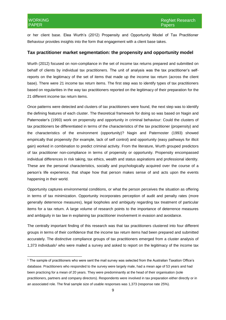or her client base. Elea Wurth's (2012) Propensity and Opportunity Model of Tax Practitioner Behaviour provides insights into the form that engagement with a client base takes.

#### **Tax practitioner market segmentation: the propensity and opportunity model**

Wurth (2012) focused on non-compliance in the set of income tax returns prepared and submitted on behalf of clients by individual tax practitioners. The unit of analysis was the tax practitioner's selfreports on the legitimacy of the set of items that made up the income tax return (across the client base). There were 21 income tax return items. The first step was to identify types of tax practitioners based on regularities in the way tax practitioners reported on the legitimacy of their preparation for the 21 different income tax return items.

Once patterns were detected and clusters of tax practitioners were found, the next step was to identify the defining features of each cluster. The theoretical framework for doing so was based on Nagin and Paternoster's (1993) work on propensity and opportunity in criminal behaviour: Could the clusters of tax practitioners be differentiated in terms of the characteristics of the tax practitioner (propensity) and the characteristics of the environment (opportunity)? Nagin and Paternoster (1993) showed empirically that propensity (for example, lack of self control) and opportunity (easy pathways for illicit gain) worked in combination to predict criminal activity. From the literature, Wurth grouped predictors of tax practitioner non-compliance in terms of propensity or opportunity. Propensity encompassed individual differences in risk taking, tax ethics, wealth and status aspirations and professional identity. These are the personal characteristics, socially and psychologically acquired over the course of a person's life experience, that shape how that person makes sense of and acts upon the events happening in their world.

Opportunity captures environmental conditions, or what the person perceives the situation as offering in terms of tax minimization. Opportunity incorporates perception of audit and penalty rates (more generally deterrence measures), legal loopholes and ambiguity regarding tax treatment of particular items for a tax return. A large volume of research points to the importance of deterrence measures and ambiguity in tax law in explaining tax practitioner involvement in evasion and avoidance.

The centrally important finding of this research was that tax practitioners clustered into four different groups in terms of their confidence that the income tax return items had been prepared and submitted accurately. The distinctive compliance groups of tax practitioners emerged from a cluster analysis of 1,373 individuals<sup>1</sup> who were mailed a survey and asked to report on the legitimacy of the income tax

<sup>1</sup> The sample of practitioners who were sent the mail survey was selected from the Australian Taxation Office's database. Practitioners who responded to the survey were largely male, had a mean age of 53 years and had been practicing for a mean of 20 years. They were predominantly at the head of their organisation (sole practitioners, partners and company directors). Respondents were involved in tax preparation either directly or in an associated role. The final sample size of usable responses was 1,373 (response rate 25%).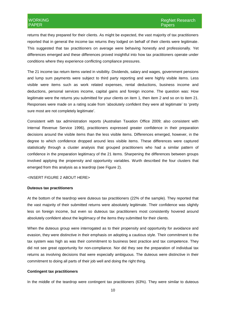returns that they prepared for their clients. As might be expected, the vast majority of tax practitioners reported that in general the income tax returns they lodged on behalf of their clients were legitimate. This suggested that tax practitioners on average were behaving honestly and professionally. Yet differences emerged and these differences proved insightful into how tax practitioners operate under conditions where they experience conflicting compliance pressures.

The 21 income tax return items varied in visibility. Dividends, salary and wages, government pensions and lump sum payments were subject to third party reporting and were highly visible items. Less visible were items such as work related expenses, rental deductions, business income and deductions, personal services income, capital gains and foreign income. The question was: How legitimate were the returns you submitted for your clients on item 1, then item 2 and so on to item 21. Responses were made on a rating scale from 'absolutely confident they were all legitimate' to 'pretty sure most are not completely legitimate'.

Consistent with tax administration reports (Australian Taxation Office 2009; also consistent with Internal Revenue Service 1996), practitioners expressed greater confidence in their preparation decisions around the visible items than the less visible items. Differences emerged, however, in the degree to which confidence dropped around less visible items. These differences were captured statistically through a cluster analysis that grouped practitioners who had a similar pattern of confidence in the preparation legitimacy of the 21 items. Sharpening the differences between groups involved applying the propensity and opportunity variables. Wurth described the four clusters that emerged from this analysis as a teardrop (see Figure 2).

#### <INSERT FIGURE 2 ABOUT HERE>

#### **Duteous tax practitioners**

At the bottom of the teardrop were duteous tax practitioners (22% of the sample). They reported that the vast majority of their submitted returns were absolutely legitimate. Their confidence was slightly less on foreign income, but even so duteous tax practitioners most consistently hovered around absolutely confident about the legitimacy of the items they submitted for their clients.

When the duteous group were interrogated as to their propensity and opportunity for avoidance and evasion, they were distinctive in their emphasis on adopting a cautious style. Their commitment to the tax system was high as was their commitment to business best practice and tax competence. They did not see great opportunity for non-compliance. Nor did they see the preparation of individual tax returns as involving decisions that were especially ambiguous. The duteous were distinctive in their commitment to doing all parts of their job well and doing the right thing.

#### **Contingent tax practitioners**

In the middle of the teardrop were contingent tax practitioners (63%). They were similar to duteous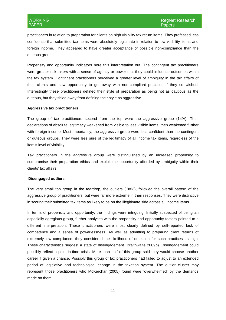practitioners in relation to preparation for clients on high visibility tax return items. They professed less confidence that submitted tax items were absolutely legitimate in relation to low visibility items and foreign income. They appeared to have greater acceptance of possible non-compliance than the duteous group.

Propensity and opportunity indicators bore this interpretation out. The contingent tax practitioners were greater risk-takers with a sense of agency or power that they could influence outcomes within the tax system. Contingent practitioners perceived a greater level of ambiguity in the tax affairs of their clients and saw opportunity to get away with non-compliant practices if they so wished. Interestingly these practitioners defined their style of preparation as being not as cautious as the duteous, but they shied away from defining their style as aggressive.

#### **Aggressive tax practitioners**

The group of tax practitioners second from the top were the aggressive group (14%). Their declarations of absolute legitimacy weakened from visible to less visible items, then weakened further with foreign income. Most importantly, the aggressive group were less confident than the contingent or duteous groups. They were less sure of the legitimacy of all income tax items, regardless of the item's level of visibility.

Tax practitioners in the aggressive group were distinguished by an increased propensity to compromise their preparation ethics and exploit the opportunity afforded by ambiguity within their clients' tax affairs.

#### **Disengaged outliers**

The very small top group in the teardrop, the outliers (.88%), followed the overall pattern of the aggressive group of practitioners, but were far more extreme in their responses. They were distinctive in scoring their submitted tax items as likely to be on the illegitimate side across all income items.

In terms of propensity and opportunity, the findings were intriguing. Initially suspected of being an especially egregious group, further analyses with the propensity and opportunity factors pointed to a different interpretation. These practitioners were most clearly defined by self-reported lack of competence and a sense of powerlessness. As well as admitting to preparing client returns of extremely low compliance, they considered the likelihood of detection for such practices as high. These characteristics suggest a state of disengagement (Braithwaite 2009b). Disengagement could possibly reflect a point-in-time crisis. More than half of this group said they would choose another career if given a chance. Possibly this group of tax practitioners had failed to adjust to an extended period of legislative and technological change in the taxation system. The outlier cluster may represent those practitioners who McKerchar (2005) found were 'overwhelmed' by the demands made on them.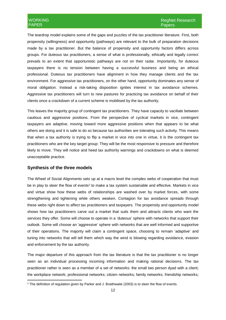The teardrop model explains some of the gaps and puzzles of the tax practitioner literature. First, both propensity (willingness) and opportunity (pathways) are relevant to the bulk of preparation decisions made by a tax practitioner. But the balance of propensity and opportunity factors differs across groups. For duteous tax practitioners, a sense of what is professionally, ethically and legally correct prevails to an extent that opportunistic pathways are not on their radar. Importantly, for duteous taxpayers there is no tension between having a successful business and being an ethical professional. Duteous tax practitioners have alignment in how they manage clients and the tax environment. For aggressive tax practitioners, on the other hand, opportunity dominates any sense of moral obligation. Instead a risk-taking disposition ignites interest in tax avoidance schemes. Aggressive tax practitioners will turn to new pastures for practicing tax avoidance on behalf of their clients once a crackdown of a current scheme is mobilised by the tax authority.

This leaves the majority group of contingent tax practitioners. They have capacity to vacillate between cautious and aggressive positions. From the perspective of cyclical markets in vice, contingent taxpayers are adaptive, moving toward more aggressive positions when that appears to be what others are doing and it is safe to do so because tax authorities are tolerating such activity. This means that when a tax authority is trying to flip a market in vice into one in virtue, it is the contingent tax practitioners who are the key target group: They will be the most responsive to pressure and therefore likely to move. They will notice and heed tax authority warnings and crackdowns on what is deemed unacceptable practice.

#### **Synthesis of the three models**

The Wheel of Social Alignments sets up at a macro level the complex webs of cooperation that must be in play to steer the flow of events<sup>2</sup> to make a tax system sustainable and effective. Markets in vice and virtue show how these webs of relationships are washed over by market forces, with some strengthening and tightening while others weaken. Contagion for tax avoidance spreads through these webs right down to affect tax practitioners and taxpayers. The propensity and opportunity model shows how tax practitioners carve out a market that suits them and attracts clients who want the services they offer. Some will choose to operate in a 'duteous' sphere with networks that support their outlook. Some will choose an 'aggressive' sphere with networks that are well informed and supportive of their operations. The majority will claim a contingent space, choosing to remain 'adaptive' and tuning into networks that will tell them which way the wind is blowing regarding avoidance, evasion and enforcement by the tax authority.

The major departure of this approach from the tax literature is that the tax practitioner is no longer seen as an individual processing incoming information and making rational decisions. The tax practitioner rather is seen as a member of a set of networks: the small two person dyad with a client; the workplace network; professional networks; citizen networks; family networks; friendship networks;

 $2$  The definition of regulation given by Parker and J. Braithwaite (2003) is to steer the flow of events.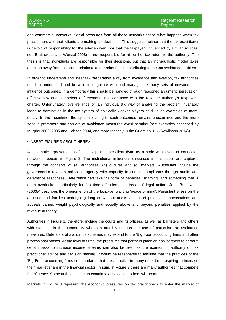and commercial networks. Social pressures from all these networks shape what happens when tax practitioners and their clients are making tax decisions. This suggests neither that the tax practitioner is devoid of responsibility for the advice given, nor that the taxpayer (influenced by similar sources, see Braithwaite and Wenzel 2008) is not responsible for his or her tax return to the authority. The thesis is that individuals are responsible for their decisions, but that an individualistic model takes attention away from the social-relational and market forces contributing to the tax avoidance problem.

In order to understand and steer tax preparation away from avoidance and evasion, tax authorities need to understand and be able to negotiate with and manage the many sets of networks that influence outcomes. In a democracy this should be handled through reasoned argument, persuasion, effective law and competent enforcement, in accordance with the revenue authority's taxpayers' charter. Unfortunately, over-reliance on an individualistic way of analysing the problem invariably leads to domination in the tax system of politically weaker players held up as examples of moral decay. In the meantime, the system leading to such outcomes remains unexamined and the more serious promoters and carriers of avoidance measures avoid scrutiny (see examples described by Murphy 2003, 2005 and Hobson 2004, and more recently in the Guardian, UK (Rawlinson 2014)).

#### <INSERT FIGURE 3 ABOUT HERE>

A schematic representation of the tax practitioner-client dyad as a node within sets of connected networks appears in Figure 3. The institutional influences discussed in this paper are captured through the concepts of (a) authorities, (b) cultures and (c) markets. Authorities include the government's revenue collection agency with capacity to coerce compliance through audits and deterrence responses. Deterrence can take the form of penalties, shaming, and something that is often overlooked particularly for first-time offenders, the threat of legal action. John Braithwaite (2003a) describes the phenomenon of the taxpayer wanting 'peace of mind'. Persistent stress on the accused and families undergoing long drawn out audits and court processes, prosecutions and appeals carries weight psychologically and socially above and beyond penalties applied by the revenue authority.

Authorities in Figure 3, therefore, include the courts and its officers, as well as barristers and others with standing in the community who can credibly support the use of particular tax avoidance measures. Defenders of avoidance schemes may extend to the 'Big Four' accounting firms and other professional bodies. At the level of firms, the pressures that partners place on non-partners to perform certain tasks to increase income streams can also be seen as the exertion of authority on tax practitioner advice and decision making. It would be reasonable to assume that the practices of the 'Big Four' accounting firms set standards that are attractive to many other firms aspiring to increase their market share in the financial sector. In sum, in Figure 3 there are many authorities that compete for influence. Some authorities aim to contain tax avoidance, others will promote it.

Markets in Figure 3 represent the economic pressures on tax practitioners to enter the market of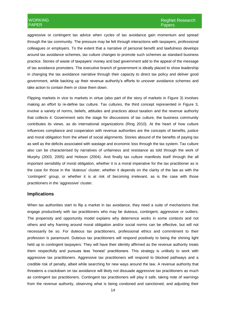aggressive or contingent tax advice when cycles of tax avoidance gain momentum and spread through the tax community. The pressure may be felt through interactions with taxpayers, professional colleagues or employers. To the extent that a narrative of personal benefit and lawfulness develops around tax avoidance schemes, tax culture changes to promote such schemes as standard business practice. Stories of waste of taxpayers' money and bad government add to the appeal of the message of tax avoidance promoters. The executive branch of government is ideally placed to show leadership in changing the tax avoidance narrative through their capacity to direct tax policy and deliver good government, while backing up their revenue authority's efforts to uncover avoidance schemes and take action to contain them or close them down.

Flipping markets in vice to markets in virtue (also part of the story of markets in Figure 3) involves making an effort to re-define tax culture. Tax cultures, the third concept represented in Figure 3, involve a variety of norms, beliefs, attitudes and practices about taxation and the revenue authority that collects it. Government sets the stage for discussions of tax culture, the business community contributes its views, as do international organizations (Ring 2010). At the heart of how culture influences compliance and cooperation with revenue authorities are the concepts of benefits, justice and moral obligation from the wheel of social alignments. Stories abound of the benefits of paying tax as well as the deficits associated with wastage and economic loss through the tax system. Tax culture also can be characterised by narratives of unfairness and resistance as told through the work of Murphy (2003, 2005) and Hobson (2004). And finally tax culture manifests itself through the all important sensibility of moral obligation, whether it is a moral imperative for the tax practitioner as is the case for those in the 'duteous' cluster, whether it depends on the clarity of the law as with the 'contingent' group, or whether it is at risk of becoming irrelevant, as is the case with those practitioners in the 'aggressive' cluster.

#### **Implications**

When tax authorities start to flip a market in tax avoidance, they need a suite of mechanisms that engage productively with tax practitioners who may be duteous, contingent, aggressive or outliers. The propensity and opportunity model explains why deterrence works in some contexts and not others and why framing around moral obligation and/or social norms can be effective, but will not necessarily be so. For duteous tax practitioners, professional ethics and commitment to their profession is paramount. Duteous tax practitioners will respond positively to being the shining light held up to contingent taxpayers: They will have their identity affirmed as the revenue authority treats them respectfully and pursues less 'honest' practitioners. This strategy is unlikely to work with aggressive tax practitioners. Aggressive tax practitioners will respond to blocked pathways and a credible risk of penalty, albeit while searching for new ways around the law. A revenue authority that threatens a crackdown on tax avoidance will likely not dissuade aggressive tax practitioners as much as contingent tax practitioners. Contingent tax practitioners will play it safe, taking note of warnings from the revenue authority, observing what is being condoned and sanctioned, and adjusting their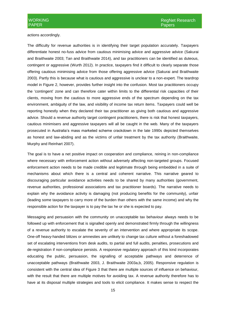actions accordingly.

The difficulty for revenue authorities is in identifying their target population accurately. Taxpayers differentiate honest no-fuss advice from cautious minimising advice and aggressive advice (Sakurai and Braithwaite 2003; Tan and Braithwaite 2014), and tax practitioners can be identified as duteous, contingent or aggressive (Wurth 2012). In practice, taxpayers find it difficult to clearly separate those offering cautious minimising advice from those offering aggressive advice (Sakurai and Braithwaite 2003). Partly this is because what is cautious and aggressive is unclear to a non-expert. The teardrop model in Figure 2, however, provides further insight into the confusion. Most tax practitioners occupy the 'contingent' zone and can therefore cater within limits to the differential risk capacities of their clients, moving from the cautious to more aggressive ends of the spectrum depending on the tax environment, ambiguity of the law, and visibility of income tax return items. Taxpayers could well be reporting honestly when they declared their tax practitioner as giving both cautious and aggressive advice. Should a revenue authority target contingent practitioners, there is risk that honest taxpayers, cautious minimisers and aggressive taxpayers will all be caught in the web. Many of the taxpayers prosecuted in Australia's mass marketed scheme crackdown in the late 1990s depicted themselves as honest and law-abiding and as the victims of unfair treatment by the tax authority (Braithwaite, Murphy and Reinhart 2007).

The goal is to have a net positive impact on cooperation and compliance, reining in non-compliance where necessary with enforcement action without adversely affecting non-targeted groups. Focused enforcement action needs to be made credible and legitimate through being embedded in a suite of mechanisms about which there is a central and coherent narrative. This narrative geared to discouraging particular avoidance activities needs to be shared by many authorities (government, revenue authorities, professional associations and tax practitioner boards). The narrative needs to explain why the avoidance activity is damaging (not producing benefits for the community), unfair (leading some taxpayers to carry more of the burden than others with the same income) and why the responsible action for the taxpayer is to pay the tax he or she is expected to pay.

Messaging and persuasion with the community on unacceptable tax behaviour always needs to be followed up with enforcement that is signalled openly and demonstrated firmly through the willingness of a revenue authority to escalate the severity of an intervention and where appropriate its scope. One-off heavy-handed blitzes or amnesties are unlikely to change tax culture without a foreshadowed set of escalating interventions from desk audits, to partial and full audits, penalties, prosecutions and de-registration if non-compliance persists. A responsive regulatory approach of this kind incorporates educating the public, persuasion, the signalling of acceptable pathways and deterrence of unacceptable pathways (Braithwaite 2003, J. Braithwaite 2003a,b, 2005). Responsive regulation is consistent with the central idea of Figure 3 that there are multiple sources of influence on behaviour, with the result that there are multiple motives for avoiding tax. A revenue authority therefore has to have at its disposal multiple strategies and tools to elicit compliance. It makes sense to respect the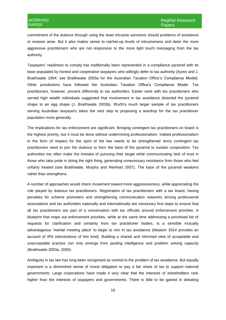commitment of the duteous through using the least intrusive sanctions should problems of avoidance or evasion arise. But it also makes sense to ratchet-up levels of intrusiveness and deter the more aggressive practitioners who are not responsive to the more light touch messaging from the tax authority.

Taxpayers' readiness to comply has traditionally been represented in a compliance pyramid with its base populated by honest and cooperative taxpayers who willingly defer to tax authority (Ayres and J. Braithwaite 1994; see Braithwaite 2003a for the Australian Taxation Office's Compliance Model). Other jurisdictions have followed the Australian Taxation Office's Compliance Model. Tax practitioners, however, present differently to tax authorities. Earlier work with tax practitioners who served high wealth individuals suggested that involvement in tax avoidance distorted the pyramid shape to an egg shape (J. Braithwaite 2003b). Wurth's much larger sample of tax practitioners serving Australian taxpayers takes the next step to proposing a teardrop for the tax practitioner population more generally.

The implications for tax enforcement are significant. Bringing contingent tax practitioners on board is the highest priority, but it must be done without undermining professionalism. Indeed professionalism in the form of respect for the spirit of the law needs to be strengthened since contingent tax practitioners need to join the duteous to form the base of the pyramid to sustain cooperation. Tax authorities too often make the mistake of pursuing their target while communicating lack of trust in those who take pride in doing the right thing, generating unnecessary resistance from those who feel unfairly treated (see Braithwaite, Murphy and Reinhart 2007). The base of the pyramid weakens rather than strengthens.

A number of approaches would check movement toward more aggressiveness, while appreciating the role played by duteous tax practitioners. Registration of tax practitioners with a tax board, having penalties for scheme promoters and strengthening communication networks among professional associations and tax authorities nationally and internationally are necessary first steps to ensure that all tax practitioners are part of a conversation with tax officials around enforcement priorities. A blueprint that maps out enforcement priorities, while at the same time addressing a prioritised list of requests for clarification and certainty from tax practitioner bodies, is a sensible mutually advantageous 'mental meeting place' to begin to rein in tax avoidance (Masken 2014 provides an account of IRS interventions of this kind). Building a shared and informed view of acceptable and unacceptable practice can only emerge from pooling intelligence and problem solving capacity (Braithwaite 2003a, 2005).

Ambiguity in tax law has long been recognised as central to the problem of tax avoidance. But equally important is a diminished sense of moral obligation to pay a fair share of tax to support national governments: Large corporations have made it very clear that the interests of shareholders rank higher than the interests of taxpayers and governments. There is little to be gained in debating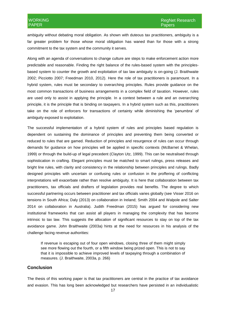ambiguity without debating moral obligation. As shown with duteous tax practitioners, ambiguity is a far greater problem for those whose moral obligation has waned than for those with a strong commitment to the tax system and the community it serves.

Along with an agenda of conversations to change culture are steps to make enforcement action more predictable and reasonable. Finding the right balance of the rules-based system with the principlesbased system to counter the growth and exploitation of tax law ambiguity is on-going (J. Braithwaite 2002; Picciotto 2007; Freedman 2010, 2012). Here the role of tax practitioners is paramount. In a hybrid system, rules must be secondary to overarching principles. Rules provide guidance on the most common transactions of business arrangements in a complex field of taxation. However, rules are used only to assist in applying the principle. In a contest between a rule and an overarching principle, it is the principle that is binding on taxpayers. In a hybrid system such as this, practitioners take on the role of enforcers for transactions of certainty while diminishing the 'penumbra' of ambiguity exposed to exploitation.

The successful implementation of a hybrid system of rules and principles based regulation is dependent on sustaining the dominance of principles and preventing them being converted or reduced to rules that are gamed. Reduction of principles and resurgence of rules can occur through demands for guidance on how principles will be applied in specific contexts (McBarnet & Whelan, 1999) or through the build-up of legal precedent (Clayton Utz, 1999). This can be neutralised through sophistication in crafting. Elegant principles must be matched to smart rulings, press releases and bright line rules, with clarity and consistency in the relationship between principles and rulings. Badly designed principles with uncertain or confusing rules or confusion in the proffering of conflicting interpretations will exacerbate rather than resolve ambiguity. It is here that collaboration between tax practitioners, tax officials and drafters of legislation provides real benefits. The degree to which successful partnering occurs between practitioner and tax officials varies globally (see Visser 2016 on tensions in South Africa; Daly (2013) on collaboration in Ireland; Smith 2004 and Walpole and Salter 2014 on collaboration in Australia). Judith Freedman (2015) has argued for considering new institutional frameworks that can assist all players in managing the complexity that has become intrinsic to tax law. This suggests the allocation of significant resources to stay on top of the tax avoidance game. John Braithwaite (2003a) hints at the need for resources in his analysis of the challenge facing revenue authorities:

If revenue is escaping out of four open windows, closing three of them might simply see more flowing out the fourth, or a fifth window being prized open. This is not to say that it is impossible to achieve improved levels of taxpaying through a combination of measures. (J. Braithwaite, 2003a, p. 266)

#### **Conclusion**

The thesis of this working paper is that tax practitioners are central in the practice of tax avoidance and evasion. This has long been acknowledged but researchers have persisted in an individualistic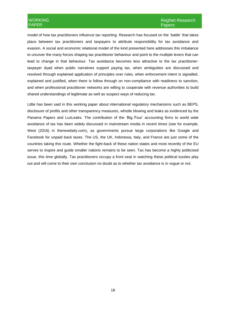model of how tax practitioners influence tax reporting. Research has focused on the 'battle' that takes place between tax practitioners and taxpayers to attribute responsibility for tax avoidance and evasion. A social and economic relational model of the kind presented here addresses this imbalance to uncover the many forces shaping tax practitioner behaviour and point to the multiple levers that can lead to change in that behaviour. Tax avoidance becomes less attractive to the tax practitionertaxpayer dyad when public narratives support paying tax, when ambiguities are discussed and resolved through explained application of principles over rules, when enforcement intent is signalled, explained and justified, when there is follow through on non-compliance with readiness to sanction, and when professional practitioner networks are willing to cooperate with revenue authorities to build shared understandings of legitimate as well as suspect ways of reducing tax.

Little has been said in this working paper about international regulatory mechanisms such as BEPS, disclosure of profits and other transparency measures, whistle blowing and leaks as evidenced by the Panama Papers and LuxLeaks. The contribution of the 'Big Four' accounting firms to world wide avoidance of tax has been widely discussed in mainstream media in recent times (see for example, West (2016) in thenewdaily.com), as governments pursue large corporations like Google and Facebook for unpaid back taxes. The US, the UK, Indonesia, Italy, and France are just some of the countries taking this route. Whether the fight-back of these nation states and most recently of the EU serves to inspire and guide smaller nations remains to be seen. Tax has become a highly politicised issue, this time globally. Tax practitioners occupy a front seat in watching these political tussles play out and will come to their own conclusion no doubt as to whether tax avoidance is in vogue or not.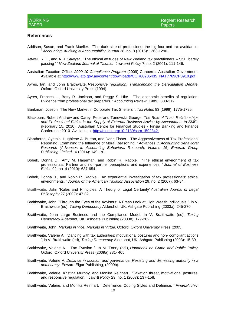#### **References**

- Addison, Susan, and Frank Mueller. 'The dark side of professions: the big four and tax avoidance. ' *Accounting, Auditing & Accountability Journal* 28, no. 8 (2015): 1263-1290.
- Attwell, R. L., and A. J. Sawyer. 'The ethical attitudes of New Zealand tax practitioners Still 'barely passing ' ' *New Zealand Journal of Taxation Law and Policy* 7, no. 2 (2001): 111-146.
- Australian Taxation Office. *2009-10 Compliance Program* (2009) Canberra: Australian Government. Available at http://www.ato.gov.au/content/downloads/COR00205435\_NAT7769CP0910.pdf.
- Ayres, Ian, and John Braithwaite. *Responsive regulation: Transcending the Deregulation Debate*. Oxford: Oxford University Press (1994).
- Ayres, Frances L., Betty R. Jackson, and Peggy S. Hite. 'The economic benefits of regulation: Evidence from professional tax preparers. ' *Accounting Review* (1989): 300-312.
- Bankman, Joseph 'The New Market in Corporate Tax Shelters ', *Tax Notes* 83 (1999): 1775-1795.
- Blackburn, Robert Andrew and Carey, Peter and Tanewski, George, *The Role of Trust, Relationships and Professional Ethics in the Supply of External Business Advice by Accountants to SMEs (*February 15, 2010). Australian Centre for Financial Studies - Finsia Banking and Finance Conference 2010. Available at<http://dx.doi.org/10.2139/ssrn.1592342.>
- Blanthorne, Cynthia, Hughlene A. Burton, and Dann Fisher. 'The Aggressiveness of Tax Professional Reporting: Examining the Influence of Moral Reasoning. ' *Advances in Accounting Behavioral Research (Advances in Accounting Behavioral Research, Volume 16) Emerald Group Publishing Limited* 16 (2014): 149-181.
- Bobek, Donna D., Amy M. Hageman, and Robin R. Radtke. 'The ethical environment of tax professionals: Partner and non-partner perceptions and experiences. ' *Journal of Business Ethics* 92, no. 4 (2010): 637-654.
- Bobek, Donna D., and Robin R. Radtke. 'An experiential investigation of tax professionals' ethical environments. ' *Journal of the American Taxation Association* 29, no. 2 (2007): 63-84.
- Braithwaite, John 'Rules and Principles: A Theory of Legal Certainty' *Australian Journal of Legal Philosophy* 27 (2002): 47-82.
- Braithwaite, John 'Through the Eyes of the Advisers: A Fresh Look at High Wealth Individuals ', in V. Braithwaite (ed), *Taxing Democracy* Aldershot, UK: Ashgate Publishing (2003a): 245-270.
- Braithwaite, John Large Business and the Compliance Model, in V. Braithwaite (ed), *Taxing Democracy* Aldershot, UK: Ashgate Publishing (2003b): 177-202.
- Braithwaite, John. *Markets in Vice, Markets in Virtue*. Oxford: Oxford University Press (2005).
- Braithwaite, Valerie A. 'Dancing with tax authorities: motivational postures and non- compliant actions ', in V. Braithwaite (ed), *Taxing Democracy* Aldershot, UK: Ashgate Publishing (2003): 15-39.
- Braithwaite, Valerie A. 'Tax Evasion '. In M. Tonry (ed.), *Handbook on Crime and Public Policy*. Oxford: Oxford University Press (2009a) 381- 405.
- Braithwaite, Valerie A. *Defiance in taxation and governance: Resisting and dismissing authority in a democracy*. Edward Elgar Publishing, (2009b).
- Braithwaite, Valerie, Kristina Murphy, and Monika Reinhart. 'Taxation threat, motivational postures, and responsive regulation. ' *Law & Policy* 29, no. 1 (2007): 137-158.

Braithwaite, Valerie, and Monika Reinhart. 'Deterrence, Coping Styles and Defiance. ' *FinanzArchiv:*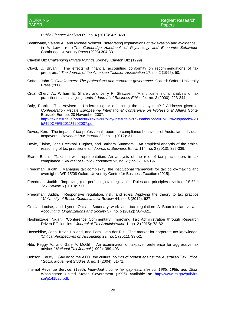*Public Finance Analysis* 69, no. 4 (2013): 439-468.

Braithwaite, Valerie A., and Michael Wenzel. 'Integrating explanations of tax evasion and avoidance. ' in A. Lewis (ed.) *The Cambridge Handbook of Psychology and Economic Behaviour*. Cambridge University Press (2008) 304-331.

Clayton Utz *Challenging Private Rulings* Sydney: Clayton Utz (1999)

- Cloyd, C. Bryan. 'The effects of financial accounting conformity on recommendations of tax preparers. ' *The Journal of the American Taxation Association* 17, no. 2 (1995): 50.
- Coffee, John C. *Gatekeepers: The professions and corporate governance*. Oxford: Oxford University Press (2006).
- Cruz, Cheryl A., William E. Shafer, and Jerry R. Strawser. 'A multidimensional analysis of tax practitioners' ethical judgments. ' *Journal of Business Ethics* 24, no. 3 (2000): 223-244.
- Daly, Frank. 'Tax Advisers Undermining or enhancing the tax system? ' Addresss given at *Confédération Fiscale Européenne International Conference on Professional Affairs* Sofitel Brussels Europe, 20 November 2007, [http://taxinstitute.ie/portals/0/Tax%20Policy/Institute%20Submission/2007/FD%20speech%20](http://taxinstitute.ie/portals/0/Tax%20Policy/Institute%20Submission/2007/FD%20speech%20to%20CFE%2011%202007.pdf) [to%20CFE%2011%202007.pdf](http://taxinstitute.ie/portals/0/Tax%20Policy/Institute%20Submission/2007/FD%20speech%20to%20CFE%2011%202007.pdf)
- Devos, Ken. 'The impact of tax professionals upon the compliance behaviour of Australian individual taxpayers. ' *Revenue Law Journal* 22, no. 1 (2012): 31.
- Doyle, Elaine, Jane Frecknall Hughes, and Barbara Summers. 'An empirical analysis of the ethical reasoning of tax practitioners. ' *Journal of Business Ethics* 114, no. 2 (2013): 325-339.
- Erard, Brian. 'Taxation with representation: An analysis of the role of tax practitioners in tax compliance. ' *Journal of Public Economics* 52, no. 2 (1993): 163-197.
- Freedman, Judith. 'Managing tax complexity: the institutional framework for tax policy-making and oversight '. WP 15/08 Oxford University Centre for Business Taxation (2015).
- Freedman, Judith. 'Improving (not perfecting) tax legislation: Rules and principles revisited. ' *British Tax Review* 6 (2010): 717.
- Freedman, Judith. 'Responsive regulation, risk, and rules: Applying the theory to tax practice ' *University of British Columbia Law Review* 44, no. 3 (2012): 627.
- Gracia, Louise, and Lynne Oats. 'Boundary work and tax regulation: A Bourdieusian view. ' *Accounting, Organizations and Society* 37, no. 5 (2012): 304-321.
- Hashimzade, Nigar. 'Conference Commentary: Improving Tax Administration through Research Driven Efficiencies. ' *Journal of Tax Administration* 1, no. 2 (2015): 78-82.
- Hasseldine, John, Kevin Holland, and Pernill van der Rijt. 'The market for corporate tax knowledge. '*Critical Perspectives on Accounting* 22, no. 1 (2011): 39-52.
- Hite, Peggy A., and Gary A. McGill. 'An examination of taxpayer preference for aggressive tax advice. ' *National Tax Journal* (1992): 389-403.
- Hobson, Kersty. ''Say no to the ATO': the cultural politics of protest against the Australian Tax Office. ' *Social Movement Studies* 3, no. 1 (2004): 51-71.
- Internal Revenue Service. (1996). *Individual income tax gap estimates for 1985, 1988, and 1992*. Washington: United States Government (1996) Available at: [http://www.irs.gov/pub/irs](http://www.irs.gov/pub/irs-soi/p141596.pdf.)[soi/p141596.pdf.](http://www.irs.gov/pub/irs-soi/p141596.pdf.)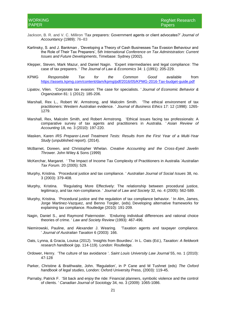- Jackson, B. R. and V. C. Milliron 'Tax preparers: Government agents or client advocates?' *Journal of Accountancy* (1989): 76–83
- Karlinsky, S. and J. Bankman , 'Developing a Theory of Cash Businesses Tax Evasion Behaviour and the Role of Their Tax Preparers', 5*th International Conference on Tax Administration: Current Issues and Future Developments*, Timebase: Sydney (2002).
- Klepper, Steven, Mark Mazur, and Daniel Nagin. 'Expert intermediaries and legal compliance: The case of tax preparers. ' *The Journal of Law & Economics* 34: 1 (1991): 205-229.
- KPMG *Responsible Tax for the Common Good* available from <https://assets.kpmg.com/content/dam/kpmg/pdf/2016/05/KPMG-2016-Tax-budget-guide.pdf>
- Lipatov, Vilen. 'Corporate tax evasion: The case for specialists. ' *Journal of Economic Behavior & Organization* 81: 1 (2012): 185-206.
- Marshall, Rex L., Robert W. Armstrong, and Malcolm Smith. 'The ethical environment of tax practitioners: Western Australian evidence. ' *Journal of Business Ethics* 17: 12 (1998): 1265- 1279.
- Marshall, Rex, Malcolm Smith, and Robert Armstrong. 'Ethical issues facing tax professionals: A comparative survey of tax agents and practitioners in Australia. ' *Asian Review of Accounting* 18, no. 3 (2010): 197-220.
- Masken, Karen *IRS Preparer-Level Treatment Tests: Results from the First Year of a Multi-Year Study* (unpublished report). (2014).
- McBarnet, Doreen, and Christopher Whelan. *Creative Accounting and the Cross-Eyed Javelin Thrower.* John Wiley & Sons (1999)
- McKerchar, Margaret. ' The Impact of Income Tax Complexity of Practitioners in Australia '*Australian Tax Forum.* 20 (2005): 529.
- Murphy, Kristina. 'Procedural justice and tax compliance. ' *Australian Journal of Social Issues* 38, no. 3 (2003): 379-408.
- Murphy, Kristina. 'Regulating More Effectively: The relationship between procedural justice, legitimacy, and tax non‐compliance. ' *Journal of Law and Society* 32, no. 4 (2005): 562-589.
- Murphy, Kristina. 'Procedural justice and the regulation of tax compliance behavior. ' In Alm, James, Jorge Martinez-Vazquez, and Benno Torgler, (eds). Developing alternative frameworks for explaining tax compliance. Routledge (2010): 191-209.
- Nagin, Daniel S., and Raymond Paternoster. 'Enduring individual differences and rational choice theories of crime. ' *Law and Society Review* (1993): 467-496.
- Niemirowski, Pauline, and Alexander J. Wearing. 'Taxation agents and taxpayer compliance. ' *Journal of Australian Taxation* 6 (2003): 166.
- Oats, Lynna, & Gracia, Louisa (2012). 'Insights from Bourdieu'. In L. Oats (Ed.), *Taxation: A fieldwork research handbook* (pp. 114-119). London: Routledge.
- Ordower, Henry. 'The culture of tax avoidance '. *Saint Louis University Law Journal* 55, no. 1 (2010): 47-128
- Parker, Christine & Braithwaite, John. 'Regulation', in P Cane and M Tushnet (eds) *The Oxford handbook of legal studies*, London: Oxford University Press, (2003): 119-45.
- Parnaby, Patrick F. 'Sit back and enjoy the ride: Financial planners, symbolic violence and the control of clients. ' *Canadian Journal of Sociology* 34, no. 3 (2009): 1065-1086.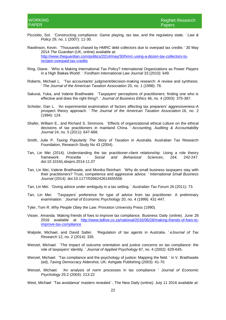- Picciotto, Sol. 'Constructing compliance: Game playing, tax law, and the regulatory state. ' *Law & Policy* 29, no. 1 (2007): 11-30.
- Rawlinson, Kevin. 'Thousands chased by HMRC debt collectors due to overpaid tax credits ' 30 May 2014 *The Guardian* (UK, online) available at: [http://www.theguardian.com/politics/2014/may/30/hmrc-using-a-dozen-tax-collectors-to](http://www.theguardian.com/politics/2014/may/30/hmrc-using-a-dozen-tax-collectors-to-reclaim-overpaid-tax-credits)[reclaim-overpaid-tax-credits](http://www.theguardian.com/politics/2014/may/30/hmrc-using-a-dozen-tax-collectors-to-reclaim-overpaid-tax-credits)
- Ring, Diane. 'Who is Making International Tax Policy? International Organizations as Power Players in a High Stakes World'. ' *Fordham International Law Journal* 33 (2010): 649.
- Roberts, Michael L. 'Tax accountants' judgment/decision-making research: A review and synthesis. ' *The Journal of the American Taxation Association* 20, no. 1 (1998): 78.
- Sakurai, Yuka, and Valerie Braithwaite. 'Taxpayers' perceptions of practitioners: finding one who is effective and does the right thing?. ' *Journal of Business Ethics* 46, no. 4 (2003): 375-387.
- Schisler, Dan L. 'An experimental examination of factors affecting tax preparers' aggressiveness-A prospect theory approach. ' *The Journal of the American Taxation Association* 16, no. 2 (1994): 124.
- Shafer, William E., and Richard S. Simmons. 'Effects of organizational ethical culture on the ethical decisions of tax practitioners in mainland China. ' *Accounting, Auditing & Accountability Journal* 24, no. 5 (2011): 647-668.
- Smith, Julie P. *Taxing Popularity The Story of Taxation in Australia.* Australian Tax Research Foundation, Research Study No 43 (2004).
- Tan, Lin Mei (2014). Understanding the tax practitioner-client relationship: Using a role theory framework. *Procedia - Social and Behavioral Sciences*, *164*, 242-247. doi:10.1016/j.sbspro.2014.11.07
- Tan, Lin Mei, Valerie Braithwaite, and Monika Reinhart. 'Why do small business taxpayers stay with their practitioners? Trust, competence and aggressive advice. ' *International Small Business Journal* (2014): doi:10.1177/0266242614555556
- Tan, Lin Mei. 'Giving advice under ambiguity in a tax setting. ' *Australian Tax Forum* 26 (2011): 73.
- Tan, Lin Mei. 'Taxpayers' preference for type of advice from tax practitioner: A preliminary examination. ' *Journal of Economic Psychology* 20, no. 4 (1999): 431-447.
- Tyler, Tom R. *Why People Obey the Law*. Princeton University Press (1990).
- Visser, Amanda. Making friends of foes to improve tax compliance. Business Daily (online). June 28 2016 available at [http://www.bdlive.co.za/national/2016/06/28/making-friends-of-foes-to](http://www.bdlive.co.za/national/2016/06/28/making-friends-of-foes-to-improve-tax-compliance)[improve-tax-compliance](http://www.bdlive.co.za/national/2016/06/28/making-friends-of-foes-to-improve-tax-compliance)
- Walpole, Michael, and David Salter. 'Regulation of tax agents in Australia. ' *eJournal of Tax Research* 12, no. 2 (2014): 335.
- Wenzel, Michael. 'The impact of outcome orientation and justice concerns on tax compliance: the role of taxpayers' identity. ' *Journal of Applied Psychology* 87, no. 4 (2002): 629-645.
- Wenzel, Michael. 'Tax compliance and the psychology of justice: Mapping the field. ' in V. Braithwaite (ed), *Taxing Democracy* Aldershot, UK: Ashgate Publishing (2003): 41-70.
- Wenzel, Michael. 'An analysis of norm processes in tax compliance ' *Journal of Economic Psychology* 25:2 (2004): 213-22
- West, Michael 'Tax avoidance' masters revealed ', The New Daily (online). July 11 2016 available at: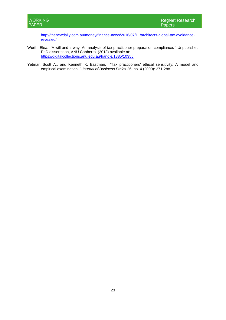[http://thenewdaily.com.au/money/finance-news/2016/07/11/architects-global-tax-avoidance](http://thenewdaily.com.au/money/finance-news/2016/07/11/architects-global-tax-avoidance-revealed/)[revealed/](http://thenewdaily.com.au/money/finance-news/2016/07/11/architects-global-tax-avoidance-revealed/)

- Wurth, Elea. 'A will and a way: An analysis of tax practitioner preparation compliance. ' Unpublished PhD dissertation, ANU Canberra. (2013) available at: <https://digitalcollections.anu.edu.au/handle/1885/10355>
- Yetmar, Scott A., and Kenneth K. Eastman. 'Tax practitioners' ethical sensitivity: A model and empirical examination. ' *Journal of Business Ethics* 26, no. 4 (2000): 271-288.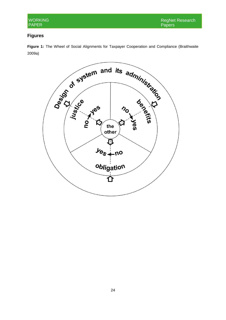### **Figures**

**Figure 1:** The Wheel of Social Alignments for Taxpayer Cooperation and Compliance (Braithwaite 2009a)

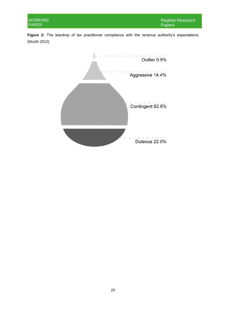Figure 2: The teardrop of tax practitioner compliance with the revenue authority's expectations (Wurth 2012)